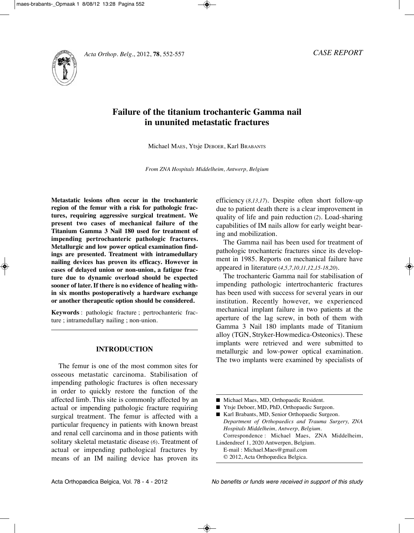



# **Failure of the titanium trochanteric Gamma nail in ununited metastatic fractures**

Michael MAES, Ytsje DEBOER, Karl BRABANtS

*From ZNA Hospitals Middelheim, Antwerp, Belgium*

**Metastatic lesions often occur in the trochanteric region of the femur with a risk for pathologic fractures, requiring aggressive surgical treatment. We present two cases of mechanical failure of the Titanium Gamma 3 Nail 180 used for treatment of impending pertrochanteric pathologic fractures. Metallurgic and low power optical examination findings are presented. Treatment with intramedullary nailing devices has proven its efficacy. However in cases of delayed union or non-union, a fatigue fracture due to dynamic overload should be expected sooner of later. If there is no evidence of healing within six months postoperatively a hardware exchange or another therapeutic option should be considered.** 

**Keywords** : pathologic fracture ; pertrochanteric fracture ; intramedullary nailing ; non-union.

#### **INTRODUCTION**

The femur is one of the most common sites for osseous metastatic carcinoma. Stabilisation of impending pathologic fractures is often necessary in order to quickly restore the function of the affected limb. This site is commonly affected by an actual or impending pathologic fracture requiring surgical treatment. The femur is affected with a particular frequency in patients with known breast and renal cell carcinoma and in those patients with solitary skeletal metastatic disease (6). Treatment of actual or impending pathological fractures by means of an IM nailing device has proven its  efficiency (*8,13,17*). Despite often short follow-up due to patient death there is a clear improvement in quality of life and pain reduction (*2*). Load-sharing capabilities of IM nails allow for early weight bearing and mobilization.

The Gamma nail has been used for treatment of pathologic trochanteric fractures since its development in 1985. Reports on mechanical failure have appeared in literature (*4,5,7,10,11,12,15-18,20*).

The trochanteric Gamma nail for stabilisation of impending pathologic intertrochanteric fractures has been used with success for several years in our institution. Recently however, we experienced mechanical implant failure in two patients at the aperture of the lag screw, in both of them with Gamma 3 Nail 180 implants made of Titanium alloy (TGN, Stryker-Howmedica-Osteonics). These implants were retrieved and were submitted to metallurgic and low-power optical examination. The two implants were examined by specialists of

- Ytsje Deboer, MD, PhD, Orthopaedic Surgeon.
- Karl Brabants, MD, Senior Orthopaedic Surgeon. *Department of Orthopaedics and Trauma Surgery, ZNA Hospitals Middelheim, Antwerp, Belgium.* Correspondence : Michael Maes, ZNA Middelheim,

Lindendreef 1, 2020 Antwerpen, Belgium. E-mail : Michael.Maes@gmail.com

© 2012, Acta Orthopædica Belgica.

<sup>■</sup> Michael Maes, MD, Orthopaedic Resident.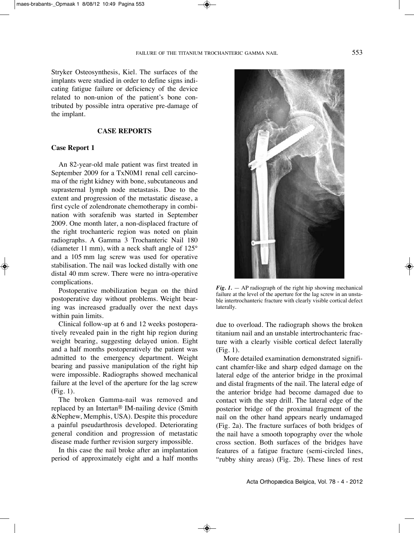laterally.

Stryker Osteosynthesis, Kiel. The surfaces of the implants were studied in order to define signs indicating fatigue failure or deficiency of the device related to non-union of the patient's bone contributed by possible intra operative pre-damage of the implant.

### **CASE REPORTS**

## **Case Report 1**

An 82-year-old male patient was first treated in September 2009 for a TxN0M1 renal cell carcinoma of the right kidney with bone, subcutaneous and suprasternal lymph node metastasis. Due to the extent and progression of the metastatic disease, a first cycle of zolendronate chemotherapy in combination with sorafenib was started in September 2009. One month later, a non-displaced fracture of the right trochanteric region was noted on plain radiographs. A Gamma 3 Trochanteric Nail 180 (diameter 11 mm), with a neck shaft angle of 125° and a 105 mm lag screw was used for operative stabilisation. The nail was locked distally with one distal 40 mm screw. There were no intra-operative complications.

Postoperative mobilization began on the third postoperative day without problems. Weight bearing was increased gradually over the next days within pain limits.

Clinical follow-up at 6 and 12 weeks postoperatively revealed pain in the right hip region during weight bearing, suggesting delayed union. Eight and a half months postoperatively the patient was admitted to the emergency department. Weight bearing and passive manipulation of the right hip were impossible. Radiographs showed mechanical failure at the level of the aperture for the lag screw (Fig. 1).

The broken Gamma-nail was removed and replaced by an Intertan® IM-nailing device (Smith &Nephew, Memphis, uSA). Despite this procedure a painful pseudarthrosis developed. Deteriorating general condition and progression of metastatic disease made further revision surgery impossible.

In this case the nail broke after an implantation period of approximately eight and a half months

*Fig. 1.* — AP radiograph of the right hip showing mechanical failure at the level of the aperture for the lag screw in an unstable intertrochanteric fracture with clearly visible cortical defect

due to overload. The radiograph shows the broken titanium nail and an unstable intertrochanteric fracture with a clearly visible cortical defect laterally (Fig. 1).

More detailed examination demonstrated significant chamfer-like and sharp edged damage on the lateral edge of the anterior bridge in the proximal and distal fragments of the nail. The lateral edge of the anterior bridge had become damaged due to contact with the step drill. The lateral edge of the posterior bridge of the proximal fragment of the nail on the other hand appears nearly undamaged (Fig. 2a). The fracture surfaces of both bridges of the nail have a smooth topography over the whole cross section. Both surfaces of the bridges have features of a fatigue fracture (semi-circled lines, "rubby shiny areas) (Fig. 2b). These lines of rest

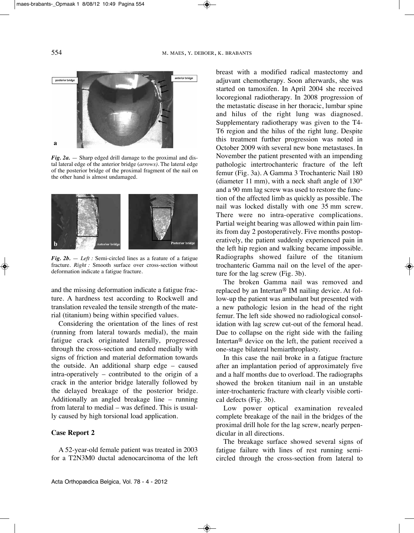

*Fig. 2a.* — Sharp edged drill damage to the proximal and distal lateral edge of the anterior bridge *(arrows)*. The lateral edge of the posterior bridge of the proximal fragment of the nail on the other hand is almost undamaged.



*Fig.*  $2b$ . — *Left :* Semi-circled lines as a feature of a fatigue fracture. *Right :* Smooth surface over cross-section without deformation indicate a fatigue fracture.

and the missing deformation indicate a fatigue fracture. A hardness test according to Rockwell and translation revealed the tensile strength of the material (titanium) being within specified values.

Considering the orientation of the lines of rest (running from lateral towards medial), the main fatigue crack originated laterally, progressed through the cross-section and ended medially with signs of friction and material deformation towards the outside. An additional sharp edge – caused intra-operatively – contributed to the origin of a crack in the anterior bridge laterally followed by the delayed breakage of the posterior bridge. Additionally an angled breakage line – running from lateral to medial – was defined. This is usually caused by high torsional load application.

#### **Case Report 2**

A 52-year-old female patient was treated in 2003 for a T2N3M0 ductal adenocarcinoma of the left breast with a modified radical mastectomy and adjuvant chemotherapy. Soon afterwards, she was started on tamoxifen. In April 2004 she received locoregional radiotherapy. In 2008 progression of the metastatic disease in her thoracic, lumbar spine and hilus of the right lung was diagnosed. Supplementary radiotherapy was given to the T4-T6 region and the hilus of the right lung. Despite this treatment further progression was noted in October 2009 with several new bone metastases. In November the patient presented with an impending pathologic intertrochanteric fracture of the left femur (Fig. 3a). A Gamma 3 Trochanteric Nail 180 (diameter 11 mm), with a neck shaft angle of 130° and a 90 mm lag screw was used to restore the function of the affected limb as quickly as possible. The nail was locked distally with one 35 mm screw. There were no intra-operative complications. Partial weight bearing was allowed within pain limits from day 2 postoperatively. Five months postoperatively, the patient suddenly experienced pain in the left hip region and walking became impossible. Radiographs showed failure of the titanium trochanteric Gamma nail on the level of the aperture for the lag screw (Fig. 3b).

The broken Gamma nail was removed and replaced by an Intertan® IM nailing device. At follow-up the patient was ambulant but presented with a new pathologic lesion in the head of the right femur. The left side showed no radiological consolidation with lag screw cut-out of the femoral head. Due to collapse on the right side with the failing Intertan® device on the left, the patient received a one-stage bilateral hemiarthroplasty.

In this case the nail broke in a fatigue fracture after an implantation period of approximately five and a half months due to overload. The radiographs showed the broken titanium nail in an unstable inter-trochanteric fracture with clearly visible cortical defects (Fig. 3b).

Low power optical examination revealed complete breakage of the nail in the bridges of the proximal drill hole for the lag screw, nearly perpendicular in all directions.

The breakage surface showed several signs of fatigue failure with lines of rest running semicircled through the cross-section from lateral to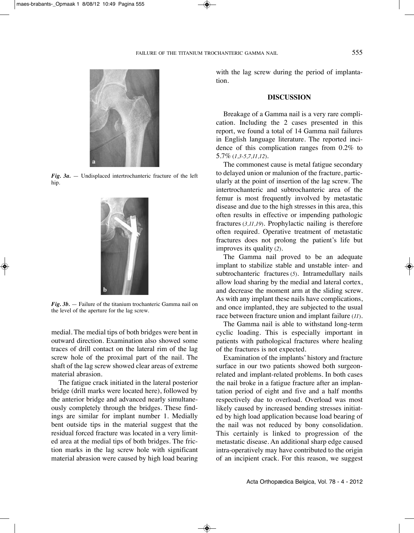

 $Fig. 3a.$  — Undisplaced intertrochanteric fracture of the left hip.



*Fig. 3b.* — Failure of the titanium trochanteric Gamma nail on the level of the aperture for the lag screw.

medial. The medial tips of both bridges were bent in outward direction. Examination also showed some traces of drill contact on the lateral rim of the lag screw hole of the proximal part of the nail. The shaft of the lag screw showed clear areas of extreme material abrasion.

The fatigue crack initiated in the lateral posterior bridge (drill marks were located here), followed by the anterior bridge and advanced nearly simultaneously completely through the bridges. These findings are similar for implant number 1. Medially bent outside tips in the material suggest that the residual forced fracture was located in a very limited area at the medial tips of both bridges. The friction marks in the lag screw hole with significant material abrasion were caused by high load bearing

with the lag screw during the period of implantation.

## **DISCUSSION**

Breakage of a Gamma nail is a very rare complication. Including the 2 cases presented in this report, we found a total of 14 Gamma nail failures in English language literature. The reported incidence of this complication ranges from 0.2% to 5.7% (*1,3-5,7,11,12*).

The commonest cause is metal fatigue secondary to delayed union or malunion of the fracture, particularly at the point of insertion of the lag screw. The intertrochanteric and subtrochanteric area of the femur is most frequently involved by metastatic disease and due to the high stresses in this area, this often results in effective or impending pathologic fractures (*3,11,19*). Prophylactic nailing is therefore often required. Operative treatment of metastatic fractures does not prolong the patient's life but improves its quality (*2*).

The Gamma nail proved to be an adequate implant to stabilize stable and unstable inter- and subtrochanteric fractures (*5*). Intramedullary nails allow load sharing by the medial and lateral cortex, and decrease the moment arm at the sliding screw. As with any implant these nails have complications, and once implanted, they are subjected to the usual race between fracture union and implant failure (*11*).

The Gamma nail is able to withstand long-term cyclic loading. This is especially important in patients with pathological fractures where healing of the fractures is not expected.

Examination of the implants' history and fracture surface in our two patients showed both surgeonrelated and implant-related problems. In both cases the nail broke in a fatigue fracture after an implantation period of eight and five and a half months respectively due to overload. Overload was most likely caused by increased bending stresses initiated by high load application because load bearing of the nail was not reduced by bony consolidation. This certainly is linked to progression of the metastatic disease. An additional sharp edge caused intra-operatively may have contributed to the origin of an incipient crack. For this reason, we suggest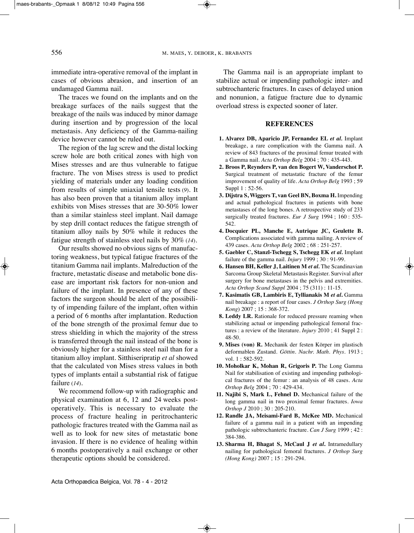immediate intra-operative removal of the implant in cases of obvious abrasion, and insertion of an undamaged Gamma nail.

The traces we found on the implants and on the breakage surfaces of the nails suggest that the breakage of the nails was induced by minor damage during insertion and by progression of the local metastasis. Any deficiency of the Gamma-nailing device however cannot be ruled out.

The region of the lag screw and the distal locking screw hole are both critical zones with high von Mises stresses and are thus vulnerable to fatigue fracture. The von Mises stress is used to predict yielding of materials under any loading condition from results of simple uniaxial tensile tests (*9*). It has also been proven that a titanium alloy implant exhibits von Mises stresses that are 30-50% lower than a similar stainless steel implant. Nail damage by step drill contact reduces the fatigue strength of titanium alloy nails by 50% while it reduces the fatigue strength of stainless steel nails by 30% (*14*).

Our results showed no obvious signs of manufactoring weakness, but typical fatigue fractures of the titanium Gamma nail implants. Malreduction of the fracture, metastatic disease and metabolic bone disease are important risk factors for non-union and failure of the implant. In presence of any of these factors the surgeon should be alert of the possibility of impending failure of the implant, often within a period of 6 months after implantation. Reduction of the bone strength of the proximal femur due to stress shielding in which the majority of the stress is transferred through the nail instead of the bone is obviously higher for a stainless steel nail than for a titanium alloy implant. Sitthiseripratip *et al* showed that the calculated von Mises stress values in both types of implants entail a substantial risk of fatigue failure (*14*).

We recommend follow-up with radiographic and physical examination at 6, 12 and 24 weeks postoperatively. this is necessary to evaluate the process of fracture healing in peritrochanteric pathologic fractures treated with the Gamma nail as well as to look for new sites of metastatic bone invasion. If there is no evidence of healing within 6 months postoperatively a nail exchange or other therapeutic options should be considered.

The Gamma nail is an appropriate implant to stabilize actual or impending pathologic inter- and subtrochanteric fractures. In cases of delayed union and nonunion, a fatigue fracture due to dynamic overload stress is expected sooner of later.

#### **REFERENCES**

- **1. Alvarez DB, Aparicio JP, Fernandez EL** *et al.* Implant breakage, a rare complication with the Gamma nail. A review of 843 fractures of the proximal femur treated with a Gamma nail. *Acta Orthop Belg* 2004 ; 70 : 435-443.
- **2. Broos P, Reynders P, van den Bogert W, Vanderschot P.** Surgical treatment of metastatic fracture of the femur improvement of quality of life. *Acta Orthop Belg* 1993 ; 59 Suppl 1 : 52-56.
- **3. Dijstra S, Wiggers T, van Geel BN, Boxma H.** Impending and actual pathological fractures in patients with bone metastases of the long bones. A retrospective study of 233 surgically treated fractures. *Eur J Surg* 1994 ; 160 : 535- 542.
- **4. Docquier PL, Manche E, Autrique JC, Geulette B.** Complications associated with gamma nailing. A review of 439 cases. *Acta Orthop Belg* 2002 ; 68 : 251-257.
- **5. Gaebler C, Stanzl-Tschegg S, Tschegg EK** *et al.* Implant failure of the gamma nail. *Injury* 1999 ; 30 : 91-99.
- **6. Hansen BH, Keller J, Laitinen M** *et al.* the Scandinavian Sarcoma Group Skeletal Metastasis Register. Survival after surgery for bone metastases in the pelvis and extremities. *Acta Orthop Scand Suppl* 2004 ; 75 (311) : 11-15.
- **7. Kasimatis GB, Lambiris E, Tyllianakis M** *et al***.** Gamma nail breakage : a report of four cases. *J Orthop Surg (Hong Kong*) 2007 ; 15 : 368-372.
- **8. Leddy LR.** Rationale for reduced pressure reaming when stabilizing actual or impending pathological femoral fractures : a review of the literature. *Injury* 2010 ; 41 Suppl 2 : 48-50.
- **9. Mises (von) R.** Mechanik der festen Körper im plastisch deformablen Zustand. *Göttin. Nachr. Math. Phys.* 1913 ; vol. 1 : 582-592.
- **10. Moholkar K, Mohan R, Grigoris P.** the Long Gamma Nail for stabilisation of existing and impending pathological fractures of the femur : an analysis of 48 cases. *Acta Orthop Belg* 2004 ; 70 : 429-434.
- **11. Najibi S, Mark L, Fehnel D.** Mechanical failure of the long gamma nail in two proximal femur fractures. *Iowa Orthop J* 2010 ; 30 : 205-210.
- **12. Randle JA, Meisami-Fard B, McKee MD.** Mechanical failure of a gamma nail in a patient with an impending pathologic subtrochanteric fracture. *Can J Surg* 1999 ; 42 : 384-386.
- **13. Sharma H, Bhagat S, McCaul J** *et al***.** Intramedullary nailing for pathological femoral fractures. *J Orthop Surg (Hong Kong)* 2007 ; 15 : 291-294.